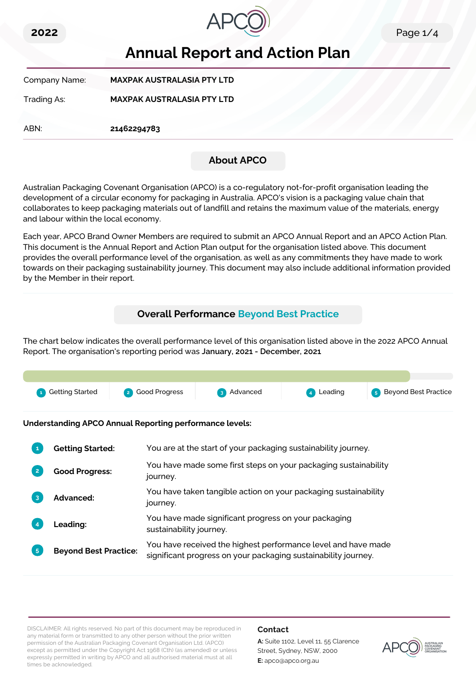



# **Annual Report and Action Plan**

Company Name: **MAXPAK AUSTRALASIA PTY LTD**

Trading As: **MAXPAK AUSTRALASIA PTY LTD**

ABN: **21462294783**

# **About APCO**

Australian Packaging Covenant Organisation (APCO) is a co-regulatory not-for-profit organisation leading the development of a circular economy for packaging in Australia. APCO's vision is a packaging value chain that collaborates to keep packaging materials out of landfill and retains the maximum value of the materials, energy and labour within the local economy.

Each year, APCO Brand Owner Members are required to submit an APCO Annual Report and an APCO Action Plan. This document is the Annual Report and Action Plan output for the organisation listed above. This document provides the overall performance level of the organisation, as well as any commitments they have made to work towards on their packaging sustainability journey. This document may also include additional information provided by the Member in their report.

# **Overall Performance Beyond Best Practice**

The chart below indicates the overall performance level of this organisation listed above in the 2022 APCO Annual Report. The organisation's reporting period was **January, 2021 - December, 2021**.



**Understanding APCO Annual Reporting performance levels:**

| 1              | <b>Getting Started:</b>      | You are at the start of your packaging sustainability journey.                                                                  |
|----------------|------------------------------|---------------------------------------------------------------------------------------------------------------------------------|
| $\overline{2}$ | <b>Good Progress:</b>        | You have made some first steps on your packaging sustainability<br>journey.                                                     |
| $\overline{3}$ | <b>Advanced:</b>             | You have taken tangible action on your packaging sustainability<br>journey.                                                     |
|                | Leading:                     | You have made significant progress on your packaging<br>sustainability journey.                                                 |
| 5 <sup>1</sup> | <b>Beyond Best Practice:</b> | You have received the highest performance level and have made<br>significant progress on your packaging sustainability journey. |

DISCLAIMER: All rights reserved. No part of this document may be reproduced in any material form or transmitted to any other person without the prior written permission of the Australian Packaging Covenant Organisation Ltd. (APCO) except as permitted under the Copyright Act 1968 (Cth) (as amended) or unless expressly permitted in writing by APCO and all authorised material must at all times be acknowledged.

### **Contact**

**A:** Suite 1102, Level 11, 55 Clarence Street, Sydney, NSW, 2000 **E:** apco@apco.org.au

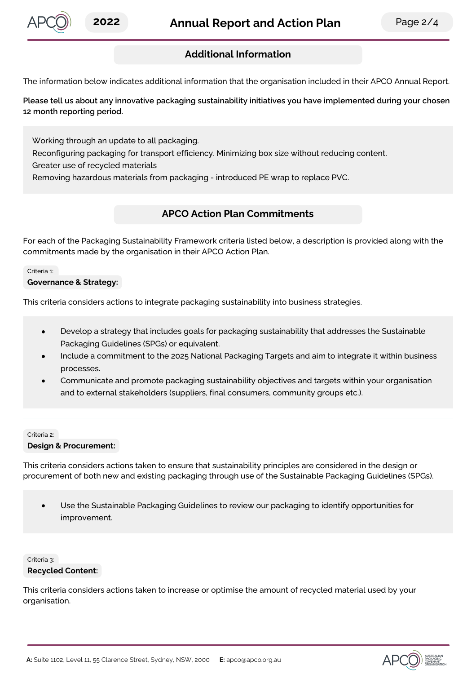

## **Additional Information**

The information below indicates additional information that the organisation included in their APCO Annual Report.

**Please tell us about any innovative packaging sustainability initiatives you have implemented during your chosen 12 month reporting period.**

Working through an update to all packaging.

Reconfiguring packaging for transport efficiency. Minimizing box size without reducing content.

Greater use of recycled materials

Removing hazardous materials from packaging - introduced PE wrap to replace PVC.

### **APCO Action Plan Commitments**

For each of the Packaging Sustainability Framework criteria listed below, a description is provided along with the commitments made by the organisation in their APCO Action Plan.

#### Criteria 1:

### **Governance & Strategy:**

This criteria considers actions to integrate packaging sustainability into business strategies.

- Develop a strategy that includes goals for packaging sustainability that addresses the Sustainable  $\bullet$ Packaging Guidelines (SPGs) or equivalent.
- Include a commitment to the 2025 National Packaging Targets and aim to integrate it within business processes.
- Communicate and promote packaging sustainability objectives and targets within your organisation and to external stakeholders (suppliers, final consumers, community groups etc.).

#### Criteria 2:

#### **Design & Procurement:**

This criteria considers actions taken to ensure that sustainability principles are considered in the design or procurement of both new and existing packaging through use of the Sustainable Packaging Guidelines (SPGs).

Use the Sustainable Packaging Guidelines to review our packaging to identify opportunities for improvement.

Criteria 3: **Recycled Content:**

This criteria considers actions taken to increase or optimise the amount of recycled material used by your organisation.

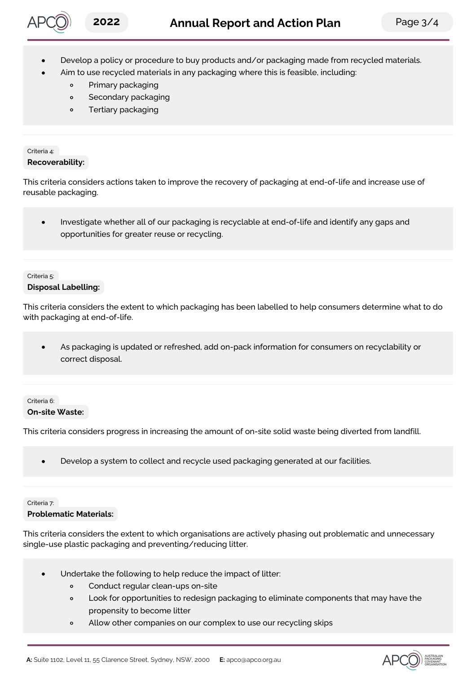

- Develop a policy or procedure to buy products and/or packaging made from recycled materials.
	- Aim to use recycled materials in any packaging where this is feasible, including:
		- Primary packaging  $\circ$
		- Secondary packaging  $\circ$
		- Tertiary packaging  $\circ$

#### Criteria 4: **Recoverability:**

This criteria considers actions taken to improve the recovery of packaging at end-of-life and increase use of reusable packaging.

 $\bullet$ Investigate whether all of our packaging is recyclable at end-of-life and identify any gaps and opportunities for greater reuse or recycling.

#### Criteria 5: **Disposal Labelling:**

This criteria considers the extent to which packaging has been labelled to help consumers determine what to do with packaging at end-of-life.

As packaging is updated or refreshed, add on-pack information for consumers on recyclability or  $\bullet$ correct disposal.

### Criteria 6: **On-site Waste:**

This criteria considers progress in increasing the amount of on-site solid waste being diverted from landfill.

Develop a system to collect and recycle used packaging generated at our facilities.  $\epsilon$ 

#### Criteria 7: **Problematic Materials:**

This criteria considers the extent to which organisations are actively phasing out problematic and unnecessary single-use plastic packaging and preventing/reducing litter.

- Undertake the following to help reduce the impact of litter:
	- Conduct regular clean-ups on-site  $\circ$
	- Look for opportunities to redesign packaging to eliminate components that may have the  $\circ$ propensity to become litter
	- Allow other companies on our complex to use our recycling skips  $\circ$